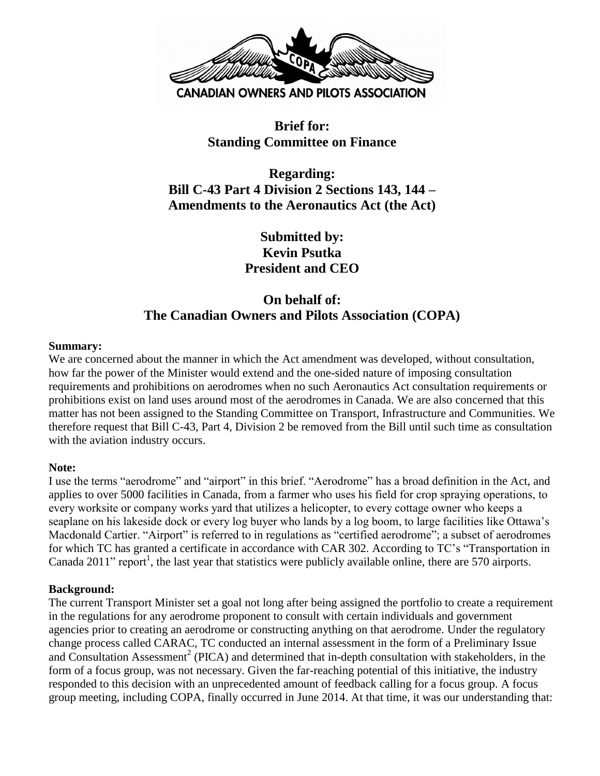

## **Brief for: Standing Committee on Finance**

**Regarding: Bill C-43 Part 4 Division 2 Sections 143, 144 – Amendments to the Aeronautics Act (the Act)**

> **Submitted by: Kevin Psutka President and CEO**

# **On behalf of: The Canadian Owners and Pilots Association (COPA)**

#### **Summary:**

We are concerned about the manner in which the Act amendment was developed, without consultation, how far the power of the Minister would extend and the one-sided nature of imposing consultation requirements and prohibitions on aerodromes when no such Aeronautics Act consultation requirements or prohibitions exist on land uses around most of the aerodromes in Canada. We are also concerned that this matter has not been assigned to the Standing Committee on Transport, Infrastructure and Communities. We therefore request that Bill C-43, Part 4, Division 2 be removed from the Bill until such time as consultation with the aviation industry occurs.

#### **Note:**

I use the terms "aerodrome" and "airport" in this brief. "Aerodrome" has a broad definition in the Act, and applies to over 5000 facilities in Canada, from a farmer who uses his field for crop spraying operations, to every worksite or company works yard that utilizes a helicopter, to every cottage owner who keeps a seaplane on his lakeside dock or every log buyer who lands by a log boom, to large facilities like Ottawa's Macdonald Cartier. "Airport" is referred to in regulations as "certified aerodrome"; a subset of aerodromes for which TC has granted a certificate in accordance with CAR 302. According to TC's "Transportation in Canada 2011" report<sup>1</sup>, the last year that statistics were publicly available online, there are 570 airports.

#### **Background:**

The current Transport Minister set a goal not long after being assigned the portfolio to create a requirement in the regulations for any aerodrome proponent to consult with certain individuals and government agencies prior to creating an aerodrome or constructing anything on that aerodrome. Under the regulatory change process called CARAC, TC conducted an internal assessment in the form of a Preliminary Issue and Consultation Assessment<sup>2</sup> (PICA) and determined that in-depth consultation with stakeholders, in the form of a focus group, was not necessary. Given the far-reaching potential of this initiative, the industry responded to this decision with an unprecedented amount of feedback calling for a focus group. A focus group meeting, including COPA, finally occurred in June 2014. At that time, it was our understanding that: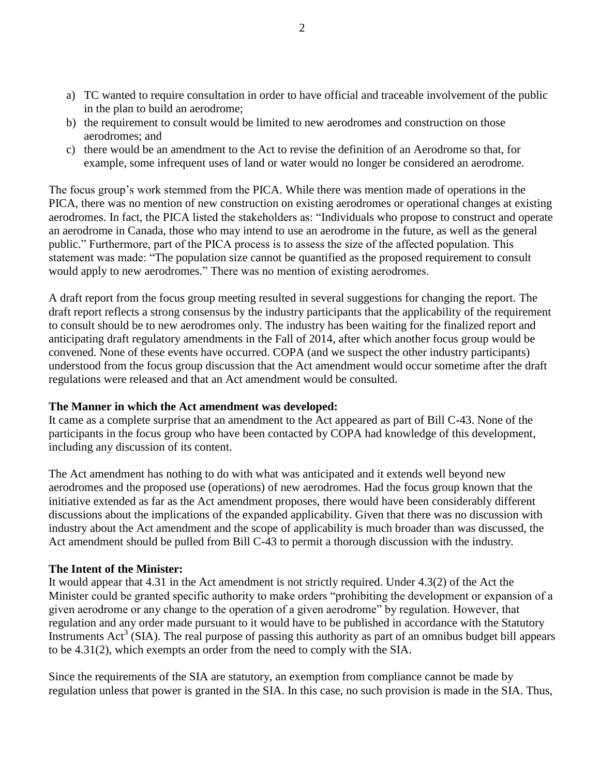- a) TC wanted to require consultation in order to have official and traceable involvement of the public in the plan to build an aerodrome;
- b) the requirement to consult would be limited to new aerodromes and construction on those aerodromes; and
- c) there would be an amendment to the Act to revise the definition of an Aerodrome so that, for example, some infrequent uses of land or water would no longer be considered an aerodrome.

The focus group's work stemmed from the PICA. While there was mention made of operations in the PICA, there was no mention of new construction on existing aerodromes or operational changes at existing aerodromes. In fact, the PICA listed the stakeholders as: "Individuals who propose to construct and operate an aerodrome in Canada, those who may intend to use an aerodrome in the future, as well as the general public." Furthermore, part of the PICA process is to assess the size of the affected population. This statement was made: "The population size cannot be quantified as the proposed requirement to consult would apply to new aerodromes." There was no mention of existing aerodromes.

A draft report from the focus group meeting resulted in several suggestions for changing the report. The draft report reflects a strong consensus by the industry participants that the applicability of the requirement to consult should be to new aerodromes only. The industry has been waiting for the finalized report and anticipating draft regulatory amendments in the Fall of 2014, after which another focus group would be convened. None of these events have occurred. COPA (and we suspect the other industry participants) understood from the focus group discussion that the Act amendment would occur sometime after the draft regulations were released and that an Act amendment would be consulted.

#### **The Manner in which the Act amendment was developed:**

It came as a complete surprise that an amendment to the Act appeared as part of Bill C-43. None of the participants in the focus group who have been contacted by COPA had knowledge of this development, including any discussion of its content.

The Act amendment has nothing to do with what was anticipated and it extends well beyond new aerodromes and the proposed use (operations) of new aerodromes. Had the focus group known that the initiative extended as far as the Act amendment proposes, there would have been considerably different discussions about the implications of the expanded applicability. Given that there was no discussion with industry about the Act amendment and the scope of applicability is much broader than was discussed, the Act amendment should be pulled from Bill C-43 to permit a thorough discussion with the industry.

## **The Intent of the Minister:**

It would appear that 4.31 in the Act amendment is not strictly required. Under 4.3(2) of the Act the Minister could be granted specific authority to make orders "prohibiting the development or expansion of a given aerodrome or any change to the operation of a given aerodrome" by regulation. However, that regulation and any order made pursuant to it would have to be published in accordance with the Statutory Instruments  $Act^3$  (SIA). The real purpose of passing this authority as part of an omnibus budget bill appears to be 4.31(2), which exempts an order from the need to comply with the SIA.

Since the requirements of the SIA are statutory, an exemption from compliance cannot be made by regulation unless that power is granted in the SIA. In this case, no such provision is made in the SIA. Thus,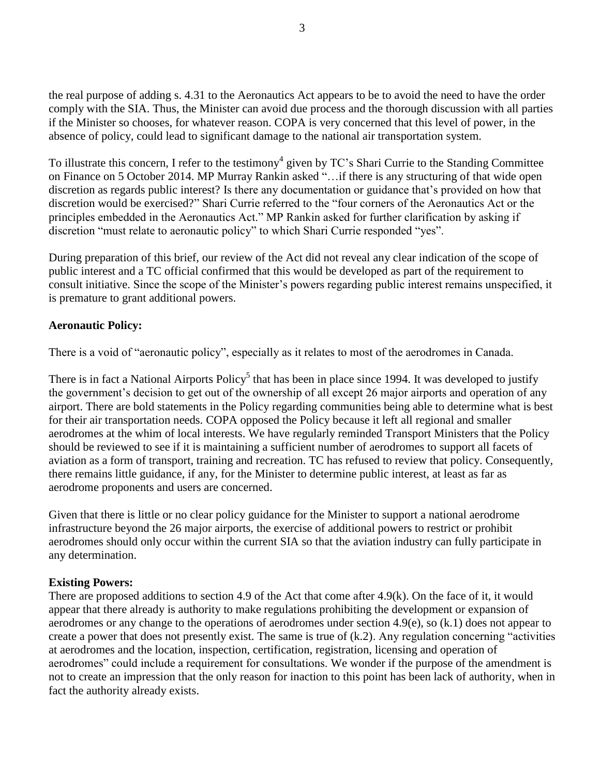the real purpose of adding s. 4.31 to the Aeronautics Act appears to be to avoid the need to have the order comply with the SIA. Thus, the Minister can avoid due process and the thorough discussion with all parties if the Minister so chooses, for whatever reason. COPA is very concerned that this level of power, in the absence of policy, could lead to significant damage to the national air transportation system.

To illustrate this concern, I refer to the testimony<sup>4</sup> given by TC's Shari Currie to the Standing Committee on Finance on 5 October 2014. MP Murray Rankin asked "…if there is any structuring of that wide open discretion as regards public interest? Is there any documentation or guidance that's provided on how that discretion would be exercised?" Shari Currie referred to the "four corners of the Aeronautics Act or the principles embedded in the Aeronautics Act." MP Rankin asked for further clarification by asking if discretion "must relate to aeronautic policy" to which Shari Currie responded "yes".

During preparation of this brief, our review of the Act did not reveal any clear indication of the scope of public interest and a TC official confirmed that this would be developed as part of the requirement to consult initiative. Since the scope of the Minister's powers regarding public interest remains unspecified, it is premature to grant additional powers.

#### **Aeronautic Policy:**

There is a void of "aeronautic policy", especially as it relates to most of the aerodromes in Canada.

There is in fact a National Airports Policy<sup>5</sup> that has been in place since 1994. It was developed to justify the government's decision to get out of the ownership of all except 26 major airports and operation of any airport. There are bold statements in the Policy regarding communities being able to determine what is best for their air transportation needs. COPA opposed the Policy because it left all regional and smaller aerodromes at the whim of local interests. We have regularly reminded Transport Ministers that the Policy should be reviewed to see if it is maintaining a sufficient number of aerodromes to support all facets of aviation as a form of transport, training and recreation. TC has refused to review that policy. Consequently, there remains little guidance, if any, for the Minister to determine public interest, at least as far as aerodrome proponents and users are concerned.

Given that there is little or no clear policy guidance for the Minister to support a national aerodrome infrastructure beyond the 26 major airports, the exercise of additional powers to restrict or prohibit aerodromes should only occur within the current SIA so that the aviation industry can fully participate in any determination.

#### **Existing Powers:**

There are proposed additions to section 4.9 of the Act that come after 4.9(k). On the face of it, it would appear that there already is authority to make regulations prohibiting the development or expansion of aerodromes or any change to the operations of aerodromes under section 4.9(e), so (k.1) does not appear to create a power that does not presently exist. The same is true of (k.2). Any regulation concerning "activities at aerodromes and the location, inspection, certification, registration, licensing and operation of aerodromes" could include a requirement for consultations. We wonder if the purpose of the amendment is not to create an impression that the only reason for inaction to this point has been lack of authority, when in fact the authority already exists.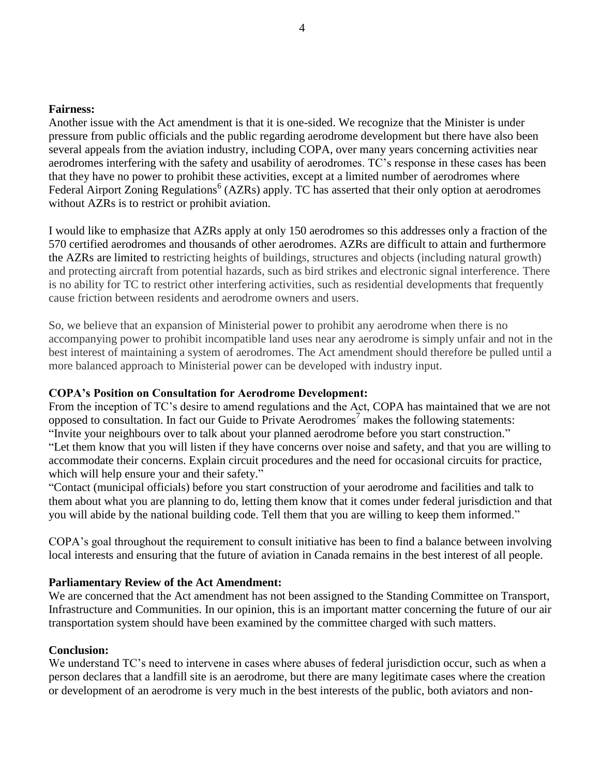#### **Fairness:**

Another issue with the Act amendment is that it is one-sided. We recognize that the Minister is under pressure from public officials and the public regarding aerodrome development but there have also been several appeals from the aviation industry, including COPA, over many years concerning activities near aerodromes interfering with the safety and usability of aerodromes. TC's response in these cases has been that they have no power to prohibit these activities, except at a limited number of aerodromes where Federal Airport Zoning Regulations<sup>6</sup> (AZRs) apply. TC has asserted that their only option at aerodromes without AZRs is to restrict or prohibit aviation.

I would like to emphasize that AZRs apply at only 150 aerodromes so this addresses only a fraction of the 570 certified aerodromes and thousands of other aerodromes. AZRs are difficult to attain and furthermore the AZRs are limited to restricting heights of buildings, structures and objects (including natural growth) and protecting aircraft from potential hazards, such as bird strikes and electronic signal interference. There is no ability for TC to restrict other interfering activities, such as residential developments that frequently cause friction between residents and aerodrome owners and users.

So, we believe that an expansion of Ministerial power to prohibit any aerodrome when there is no accompanying power to prohibit incompatible land uses near any aerodrome is simply unfair and not in the best interest of maintaining a system of aerodromes. The Act amendment should therefore be pulled until a more balanced approach to Ministerial power can be developed with industry input.

#### **COPA's Position on Consultation for Aerodrome Development:**

From the inception of TC's desire to amend regulations and the Act, COPA has maintained that we are not opposed to consultation. In fact our Guide to Private Aerodromes<sup>7</sup> makes the following statements: "Invite your neighbours over to talk about your planned aerodrome before you start construction." "Let them know that you will listen if they have concerns over noise and safety, and that you are willing to accommodate their concerns. Explain circuit procedures and the need for occasional circuits for practice, which will help ensure your and their safety."

"Contact (municipal officials) before you start construction of your aerodrome and facilities and talk to them about what you are planning to do, letting them know that it comes under federal jurisdiction and that you will abide by the national building code. Tell them that you are willing to keep them informed."

COPA's goal throughout the requirement to consult initiative has been to find a balance between involving local interests and ensuring that the future of aviation in Canada remains in the best interest of all people.

#### **Parliamentary Review of the Act Amendment:**

We are concerned that the Act amendment has not been assigned to the Standing Committee on Transport, Infrastructure and Communities. In our opinion, this is an important matter concerning the future of our air transportation system should have been examined by the committee charged with such matters.

#### **Conclusion:**

We understand TC's need to intervene in cases where abuses of federal jurisdiction occur, such as when a person declares that a landfill site is an aerodrome, but there are many legitimate cases where the creation or development of an aerodrome is very much in the best interests of the public, both aviators and non